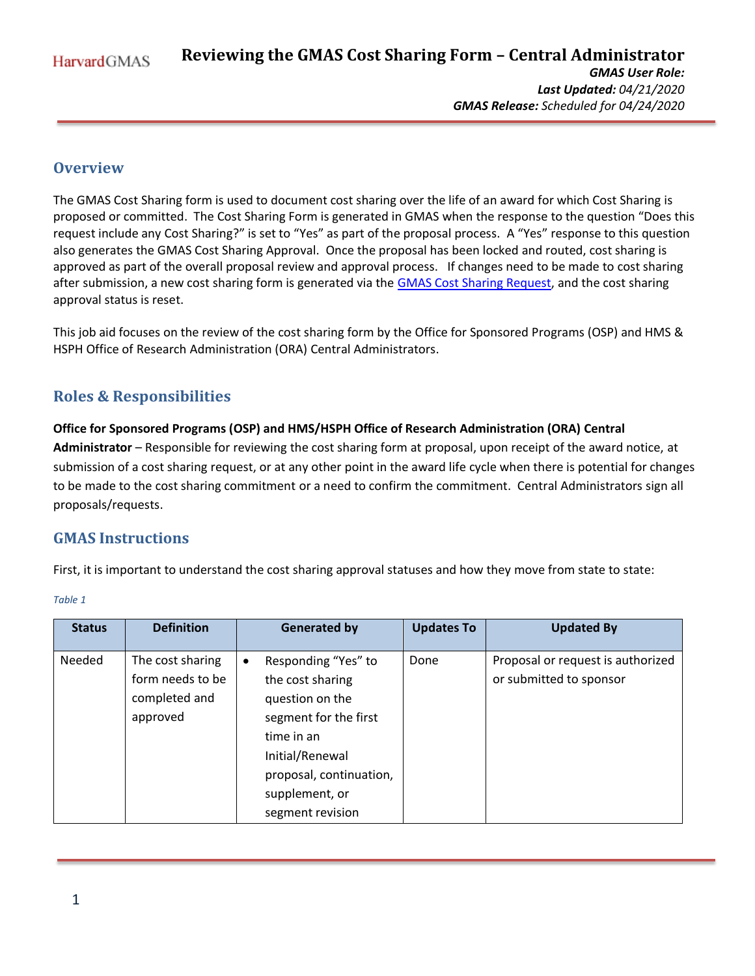**Reviewing the GMAS Cost Sharing Form – Central Administrator HarvardGMAS** *GMAS User Role: Last Updated: 04/21/2020 GMAS Release: Scheduled for 04/24/2020*

# **Overview**

The GMAS Cost Sharing form is used to document cost sharing over the life of an award for which Cost Sharing is proposed or committed. The Cost Sharing Form is generated in GMAS when the response to the question "Does this request include any Cost Sharing?" is set to "Yes" as part of the proposal process. A "Yes" response to this question also generates the GMAS Cost Sharing Approval. Once the proposal has been locked and routed, cost sharing is approved as part of the overall proposal review and approval process. If changes need to be made to cost sharing after submission, a new cost sharing form is generated via the **GMAS Cost Sharing Request**, and the cost sharing approval status is reset.

This job aid focuses on the review of the cost sharing form by the Office for Sponsored Programs (OSP) and HMS & HSPH Office of Research Administration (ORA) Central Administrators.

# **Roles & Responsibilities**

## **Office for Sponsored Programs (OSP) and HMS/HSPH Office of Research Administration (ORA) Central**

**Administrator** – Responsible for reviewing the cost sharing form at proposal, upon receipt of the award notice, at submission of a cost sharing request, or at any other point in the award life cycle when there is potential for changes to be made to the cost sharing commitment or a need to confirm the commitment. Central Administrators sign all proposals/requests.

# **GMAS Instructions**

First, it is important to understand the cost sharing approval statuses and how they move from state to state:

| <b>Status</b> | <b>Definition</b>                                                 | <b>Generated by</b>                                                                                                                                                                   | <b>Updates To</b> | <b>Updated By</b>                                            |
|---------------|-------------------------------------------------------------------|---------------------------------------------------------------------------------------------------------------------------------------------------------------------------------------|-------------------|--------------------------------------------------------------|
| Needed        | The cost sharing<br>form needs to be<br>completed and<br>approved | Responding "Yes" to<br>the cost sharing<br>question on the<br>segment for the first<br>time in an<br>Initial/Renewal<br>proposal, continuation,<br>supplement, or<br>segment revision | Done              | Proposal or request is authorized<br>or submitted to sponsor |

#### *Table 1*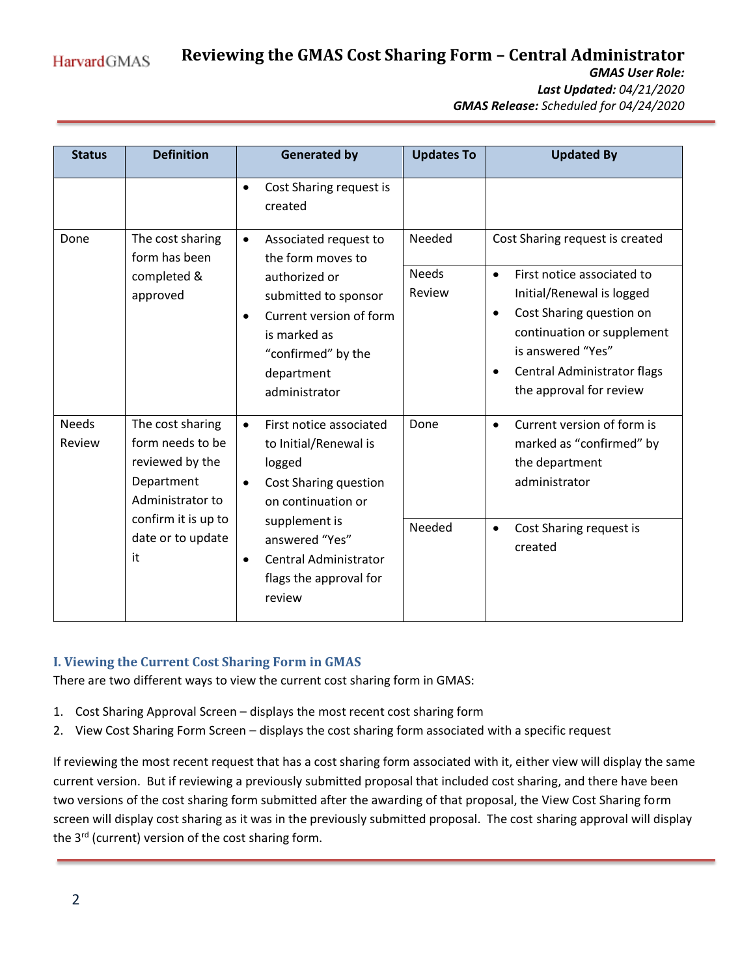**Reviewing the GMAS Cost Sharing Form – Central Administrator HarvardGMAS** *GMAS User Role: Last Updated: 04/21/2020*

*GMAS Release: Scheduled for 04/24/2020*

| <b>Status</b>          | <b>Definition</b>                                                                                                                           | <b>Generated by</b>                                                                                                                                                                                          | <b>Updates To</b>                | <b>Updated By</b>                                                                                                                                                                                                                                                          |
|------------------------|---------------------------------------------------------------------------------------------------------------------------------------------|--------------------------------------------------------------------------------------------------------------------------------------------------------------------------------------------------------------|----------------------------------|----------------------------------------------------------------------------------------------------------------------------------------------------------------------------------------------------------------------------------------------------------------------------|
|                        |                                                                                                                                             | Cost Sharing request is<br>$\bullet$<br>created                                                                                                                                                              |                                  |                                                                                                                                                                                                                                                                            |
| Done                   | The cost sharing<br>form has been<br>completed &<br>approved                                                                                | Associated request to<br>$\bullet$<br>the form moves to<br>authorized or<br>submitted to sponsor<br>Current version of form<br>is marked as<br>"confirmed" by the<br>department<br>administrator             | Needed<br><b>Needs</b><br>Review | Cost Sharing request is created<br>First notice associated to<br>$\bullet$<br>Initial/Renewal is logged<br>Cost Sharing question on<br>$\bullet$<br>continuation or supplement<br>is answered "Yes"<br>Central Administrator flags<br>$\bullet$<br>the approval for review |
| <b>Needs</b><br>Review | The cost sharing<br>form needs to be<br>reviewed by the<br>Department<br>Administrator to<br>confirm it is up to<br>date or to update<br>it | First notice associated<br>$\bullet$<br>to Initial/Renewal is<br>logged<br>Cost Sharing question<br>$\bullet$<br>on continuation or<br>supplement is<br>answered "Yes"<br>Central Administrator<br>$\bullet$ | Done<br>Needed                   | Current version of form is<br>$\bullet$<br>marked as "confirmed" by<br>the department<br>administrator<br>Cost Sharing request is<br>$\bullet$<br>created                                                                                                                  |
|                        |                                                                                                                                             | flags the approval for<br>review                                                                                                                                                                             |                                  |                                                                                                                                                                                                                                                                            |

## **I. Viewing the Current Cost Sharing Form in GMAS**

There are two different ways to view the current cost sharing form in GMAS:

- 1. Cost Sharing Approval Screen displays the most recent cost sharing form
- 2. View Cost Sharing Form Screen displays the cost sharing form associated with a specific request

If reviewing the most recent request that has a cost sharing form associated with it, either view will display the same current version. But if reviewing a previously submitted proposal that included cost sharing, and there have been two versions of the cost sharing form submitted after the awarding of that proposal, the View Cost Sharing form screen will display cost sharing as it was in the previously submitted proposal. The cost sharing approval will display the 3<sup>rd</sup> (current) version of the cost sharing form.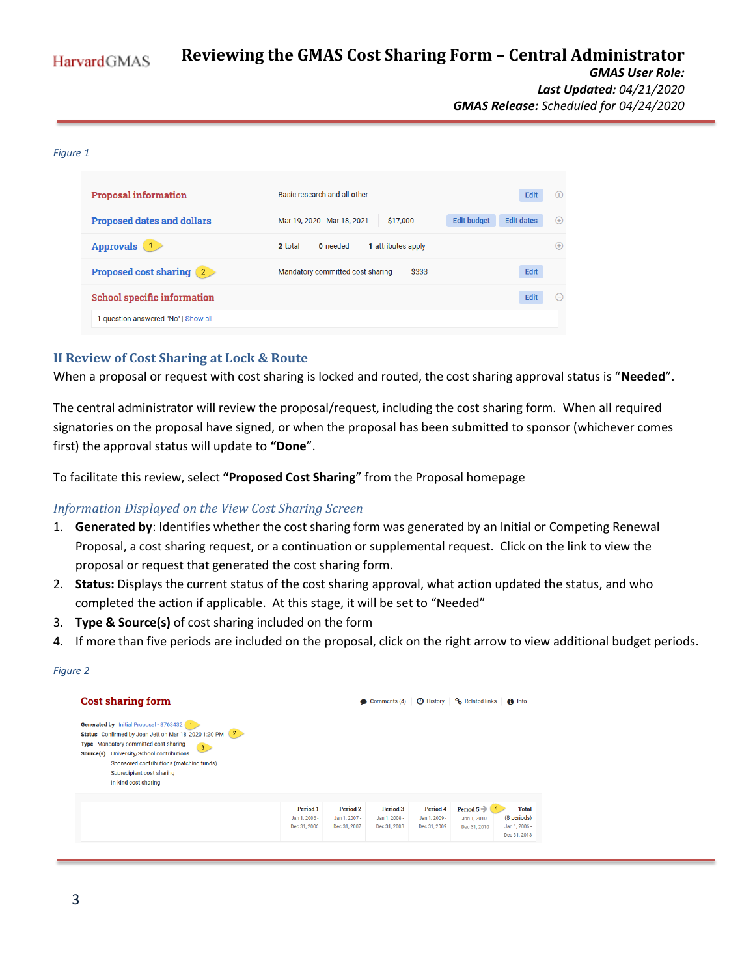#### **Reviewing the GMAS Cost Sharing Form – Central Administrator HarvardGMAS** *GMAS User Role: Last Updated: 04/21/2020 GMAS Release: Scheduled for 04/24/2020*

#### *Figure 1*

| <b>Proposal information</b>         | Basic research and all other                                  | Edit<br>$(+)$                 |
|-------------------------------------|---------------------------------------------------------------|-------------------------------|
| <b>Proposed dates and dollars</b>   | <b>Edit budget</b><br>\$17,000<br>Mar 19, 2020 - Mar 18, 2021 | <b>Edit dates</b><br>$^{(+)}$ |
| Approvals 1                         | 2 total<br>0 needed<br>1 attributes apply                     | $(+)$                         |
| <b>Proposed cost sharing (2)</b>    | Mandatory committed cost sharing<br>\$333                     | Edit                          |
| <b>School specific information</b>  |                                                               | Edit<br>$(-)$                 |
| 1 question answered "No"   Show all |                                                               |                               |

## **II Review of Cost Sharing at Lock & Route**

When a proposal or request with cost sharing is locked and routed, the cost sharing approval status is "**Needed**".

The central administrator will review the proposal/request, including the cost sharing form. When all required signatories on the proposal have signed, or when the proposal has been submitted to sponsor (whichever comes first) the approval status will update to **"Done**".

To facilitate this review, select **"Proposed Cost Sharing**" from the Proposal homepage

### *Information Displayed on the View Cost Sharing Screen*

- 1. **Generated by**: Identifies whether the cost sharing form was generated by an Initial or Competing Renewal Proposal, a cost sharing request, or a continuation or supplemental request. Click on the link to view the proposal or request that generated the cost sharing form.
- 2. **Status:** Displays the current status of the cost sharing approval, what action updated the status, and who completed the action if applicable. At this stage, it will be set to "Needed"
- 3. **Type & Source(s)** of cost sharing included on the form
- 4. If more than five periods are included on the proposal, click on the right arrow to view additional budget periods.

#### *Figure 2*

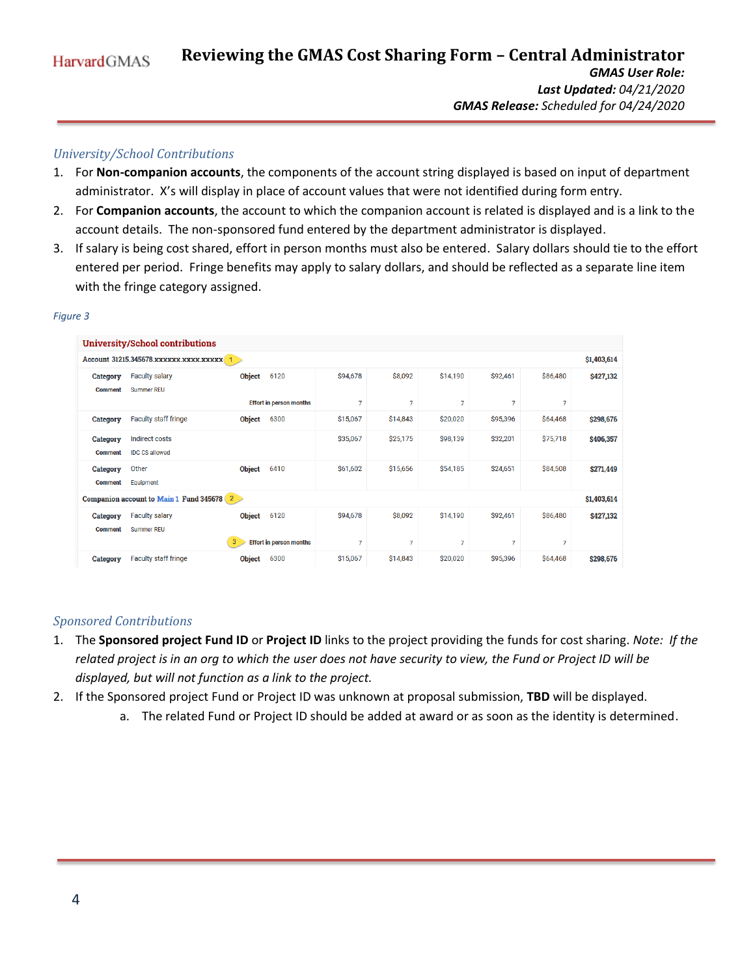## *University/School Contributions*

- 1. For **Non-companion accounts**, the components of the account string displayed is based on input of department administrator. X's will display in place of account values that were not identified during form entry.
- 2. For **Companion accounts**, the account to which the companion account is related is displayed and is a link to the account details. The non-sponsored fund entered by the department administrator is displayed.
- 3. If salary is being cost shared, effort in person months must also be entered. Salary dollars should tie to the effort entered per period. Fringe benefits may apply to salary dollars, and should be reflected as a separate line item with the fringe category assigned.

|                                   | <b>University/School contributions</b>                   |               |                                |                |          |          |          |                |           |
|-----------------------------------|----------------------------------------------------------|---------------|--------------------------------|----------------|----------|----------|----------|----------------|-----------|
|                                   | \$1,403,614                                              |               |                                |                |          |          |          |                |           |
| Category<br><b>Comment</b>        | <b>Faculty salary</b><br>Summer RFU                      | <b>Object</b> | 6120                           | \$94,678       | \$8,092  | \$14,190 | \$92,461 | \$86,480       | \$427,132 |
|                                   |                                                          |               | <b>Effort in person months</b> | $\overline{7}$ | 7        | 7        | 7        | $\overline{7}$ |           |
| <b>Category</b>                   | <b>Faculty staff fringe</b>                              | <b>Object</b> | 6300                           | \$15,067       | \$14,843 | \$20,020 | \$95,396 | \$64,468       | \$298,676 |
| <b>Category</b><br><b>Comment</b> | <b>Indirect costs</b><br><b>IDC CS allowed</b>           |               |                                | \$35,067       | \$25,175 | \$98,139 | \$32,201 | \$75,718       | \$406,357 |
| <b>Category</b><br><b>Comment</b> | Other<br>Equipment                                       | <b>Object</b> | 6410                           | \$61,602       | \$15,656 | \$54,185 | \$24,651 | \$84,508       | \$271,449 |
|                                   | Companion account to Main 1 Fund 345678 2<br>\$1,403,614 |               |                                |                |          |          |          |                |           |
| <b>Category</b><br><b>Comment</b> | <b>Faculty salary</b><br><b>Summer REU</b>               | <b>Object</b> | 6120                           | \$94,678       | \$8,092  | \$14,190 | \$92,461 | \$86,480       | \$427,132 |
|                                   |                                                          | 3             | <b>Effort in person months</b> | $\overline{7}$ | 7        | 7        | 7        | $\overline{7}$ |           |
| <b>Category</b>                   | <b>Faculty staff fringe</b>                              | <b>Object</b> | 6300                           | \$15,067       | \$14,843 | \$20,020 | \$95,396 | \$64,468       | \$298,676 |

#### *Figure 3*

### *Sponsored Contributions*

- 1. The **Sponsored project Fund ID** or **Project ID** links to the project providing the funds for cost sharing. *Note: If the related project is in an org to which the user does not have security to view, the Fund or Project ID will be displayed, but will not function as a link to the project.*
- 2. If the Sponsored project Fund or Project ID was unknown at proposal submission, **TBD** will be displayed.
	- a. The related Fund or Project ID should be added at award or as soon as the identity is determined.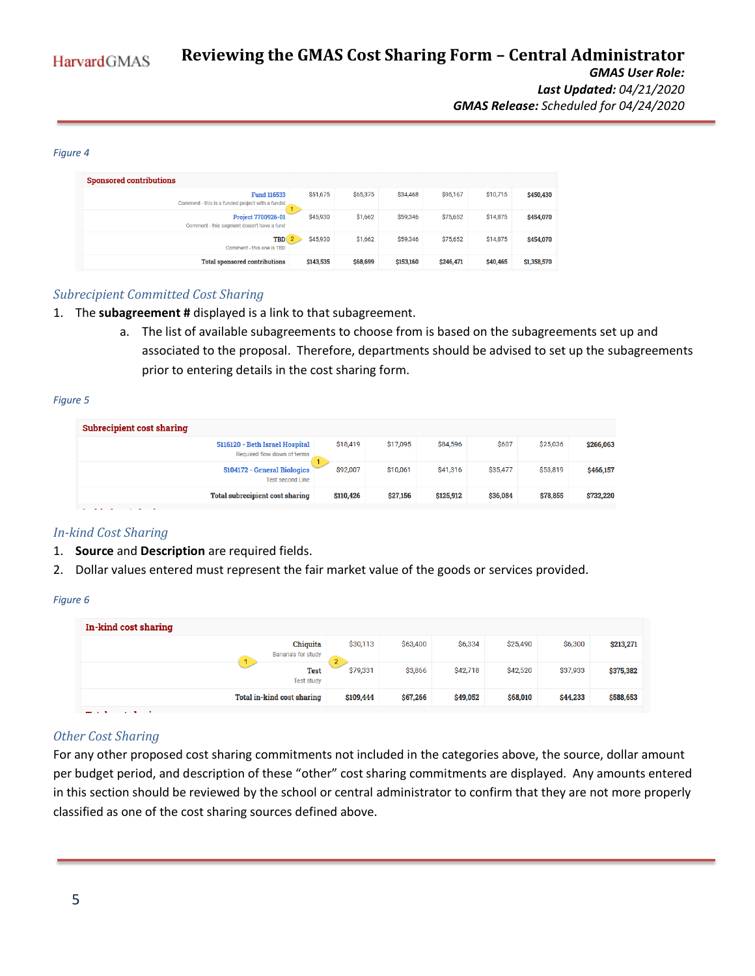#### *Figure 4*

| <b>Sponsored contributions</b>                                          |           |          |           |           |          |             |  |
|-------------------------------------------------------------------------|-----------|----------|-----------|-----------|----------|-------------|--|
| <b>Fund 116533</b><br>Comment - this is a funded project with a fundld  | \$51,675  | \$65,375 | \$34,468  | \$95,167  | \$10,715 | \$450,430   |  |
| <b>Project 7700926-01</b><br>Comment - this segment doesn't have a fund | \$45,930  | \$1,662  | \$59,346  | \$75,652  | \$14,875 | \$454,070   |  |
| <b>TBD</b><br>Comment - this one is TBD                                 | \$45,930  | \$1,662  | \$59,346  | \$75,652  | \$14,875 | \$454,070   |  |
| <b>Total sponsored contributions</b>                                    | \$143,535 | \$68,699 | \$153,160 | \$246,471 | \$40,465 | \$1,358,570 |  |

### *Subrecipient Committed Cost Sharing*

- 1. The **subagreement #** displayed is a link to that subagreement.
	- a. The list of available subagreements to choose from is based on the subagreements set up and associated to the proposal. Therefore, departments should be advised to set up the subagreements prior to entering details in the cost sharing form.

#### *Figure 5*

| \$607<br>\$17,095<br>\$25,036<br>\$18,419<br>\$84,596<br>\$266,063<br>5116120 - Beth Israel Hospital<br>Required flow down of terms<br>\$92,007<br>\$10,061<br>\$41,316<br>\$35,477<br>\$53,819<br>5104172 - General Biologics<br>\$466,157<br><b>Test second Line</b><br>Total subrecipient cost sharing<br>\$27,156<br>\$36,084<br>\$732,220<br>\$125,912<br>\$78,855<br>\$110,426 | Subrecipient cost sharing |  |  |  |
|--------------------------------------------------------------------------------------------------------------------------------------------------------------------------------------------------------------------------------------------------------------------------------------------------------------------------------------------------------------------------------------|---------------------------|--|--|--|
|                                                                                                                                                                                                                                                                                                                                                                                      |                           |  |  |  |
|                                                                                                                                                                                                                                                                                                                                                                                      |                           |  |  |  |
|                                                                                                                                                                                                                                                                                                                                                                                      |                           |  |  |  |

#### *In-kind Cost Sharing*

- 1. **Source** and **Description** are required fields.
- 2. Dollar values entered must represent the fair market value of the goods or services provided.

#### *Figure 6*

| In-kind cost sharing                  |                            |          |          |          |          |           |
|---------------------------------------|----------------------------|----------|----------|----------|----------|-----------|
| <b>Chiquita</b><br>Banana's for study | \$30,113<br>$\overline{2}$ | \$63,400 | \$6,334  | \$25,490 | \$6,300  | \$213,271 |
| <b>Test</b><br><b>Test study</b>      | \$79,331                   | \$3,866  | \$42,718 | \$42,520 | \$37,933 | \$375,382 |
| Total in-kind cost sharing            | \$109,444                  | \$67,266 | \$49,052 | \$68,010 | \$44,233 | \$588,653 |
| ---<br>. .                            |                            |          |          |          |          |           |

### *Other Cost Sharing*

For any other proposed cost sharing commitments not included in the categories above, the source, dollar amount per budget period, and description of these "other" cost sharing commitments are displayed. Any amounts entered in this section should be reviewed by the school or central administrator to confirm that they are not more properly classified as one of the cost sharing sources defined above.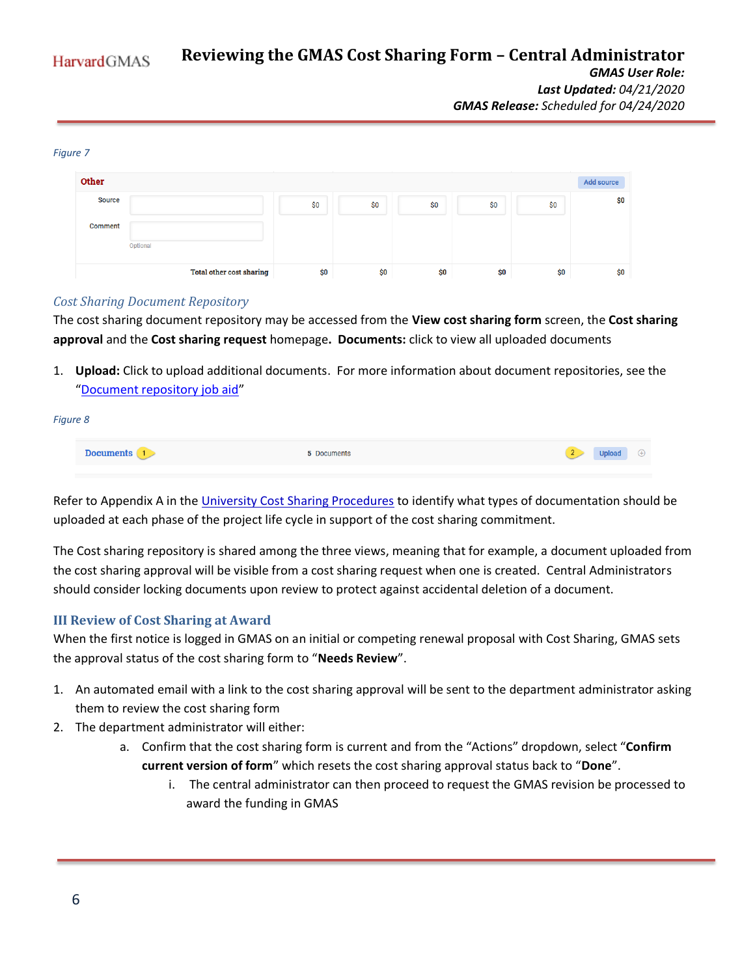#### **Reviewing the GMAS Cost Sharing Form – Central Administrator HarvardGMAS** *GMAS User Role: Last Updated: 04/21/2020 GMAS Release: Scheduled for 04/24/2020*

#### Other Add source **Source** \$0 \$0 \$O  $$0$  $$0$ \$0 Comment Optiona **Total other cost sharing**  $$0$ \$0 \$0 \$0 \$0 \$0

## *Cost Sharing Document Repository*

*Figure 7*

The cost sharing document repository may be accessed from the **View cost sharing form** screen, the **Cost sharing approval** and the **Cost sharing request** homepage**. Documents:** click to view all uploaded documents

1. **Upload:** Click to upload additional documents. For more information about document repositories, see the "[Document repository job aid](https://gmas.fss.harvard.edu/document-repositories)"

| Figure 8 |                  |             |                                                |
|----------|------------------|-------------|------------------------------------------------|
|          | <b>Documents</b> | 5 Documents | <b>Upload</b><br>2 <sup>7</sup><br>$\bigoplus$ |

Refer to Appendix A in the [University Cost Sharing Procedures](https://osp.finance.harvard.edu/files/osp/files/cost_sharing_procedure_guide_april_2020.pdf) to identify what types of documentation should be uploaded at each phase of the project life cycle in support of the cost sharing commitment.

The Cost sharing repository is shared among the three views, meaning that for example, a document uploaded from the cost sharing approval will be visible from a cost sharing request when one is created. Central Administrators should consider locking documents upon review to protect against accidental deletion of a document.

### **III Review of Cost Sharing at Award**

When the first notice is logged in GMAS on an initial or competing renewal proposal with Cost Sharing, GMAS sets the approval status of the cost sharing form to "**Needs Review**".

- 1. An automated email with a link to the cost sharing approval will be sent to the department administrator asking them to review the cost sharing form
- 2. The department administrator will either:
	- a. Confirm that the cost sharing form is current and from the "Actions" dropdown, select "**Confirm current version of form**" which resets the cost sharing approval status back to "**Done**".
		- i. The central administrator can then proceed to request the GMAS revision be processed to award the funding in GMAS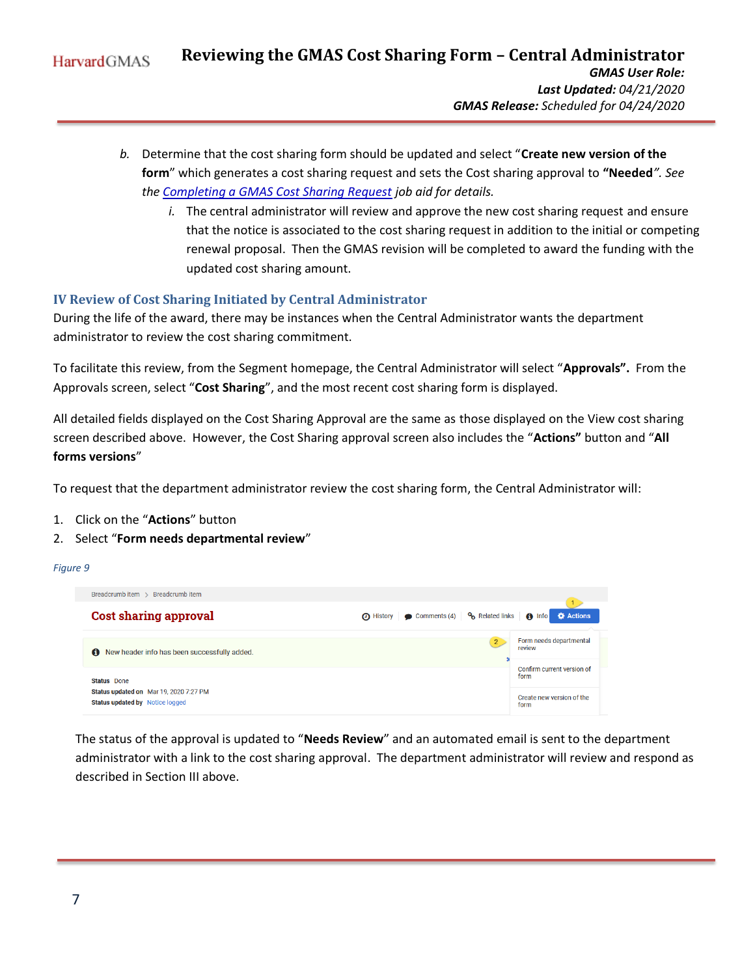- *b.* Determine that the cost sharing form should be updated and select "**Create new version of the form**" which generates a cost sharing request and sets the Cost sharing approval to **"Needed***". See the [Completing a GMAS Cost Sharing Request](https://gmas.fss.harvard.edu/completing-cost-sharing-request) job aid for details.* 
	- *i.* The central administrator will review and approve the new cost sharing request and ensure that the notice is associated to the cost sharing request in addition to the initial or competing renewal proposal. Then the GMAS revision will be completed to award the funding with the updated cost sharing amount.

# **IV Review of Cost Sharing Initiated by Central Administrator**

During the life of the award, there may be instances when the Central Administrator wants the department administrator to review the cost sharing commitment.

To facilitate this review, from the Segment homepage, the Central Administrator will select "**Approvals".** From the Approvals screen, select "**Cost Sharing**", and the most recent cost sharing form is displayed.

All detailed fields displayed on the Cost Sharing Approval are the same as those displayed on the View cost sharing screen described above. However, the Cost Sharing approval screen also includes the "**Actions"** button and "**All forms versions**"

To request that the department administrator review the cost sharing form, the Central Administrator will:

- 1. Click on the "**Actions**" button
- 2. Select "**Form needs departmental review**"

#### *Figure 9*



The status of the approval is updated to "**Needs Review**" and an automated email is sent to the department administrator with a link to the cost sharing approval. The department administrator will review and respond as described in Section III above.